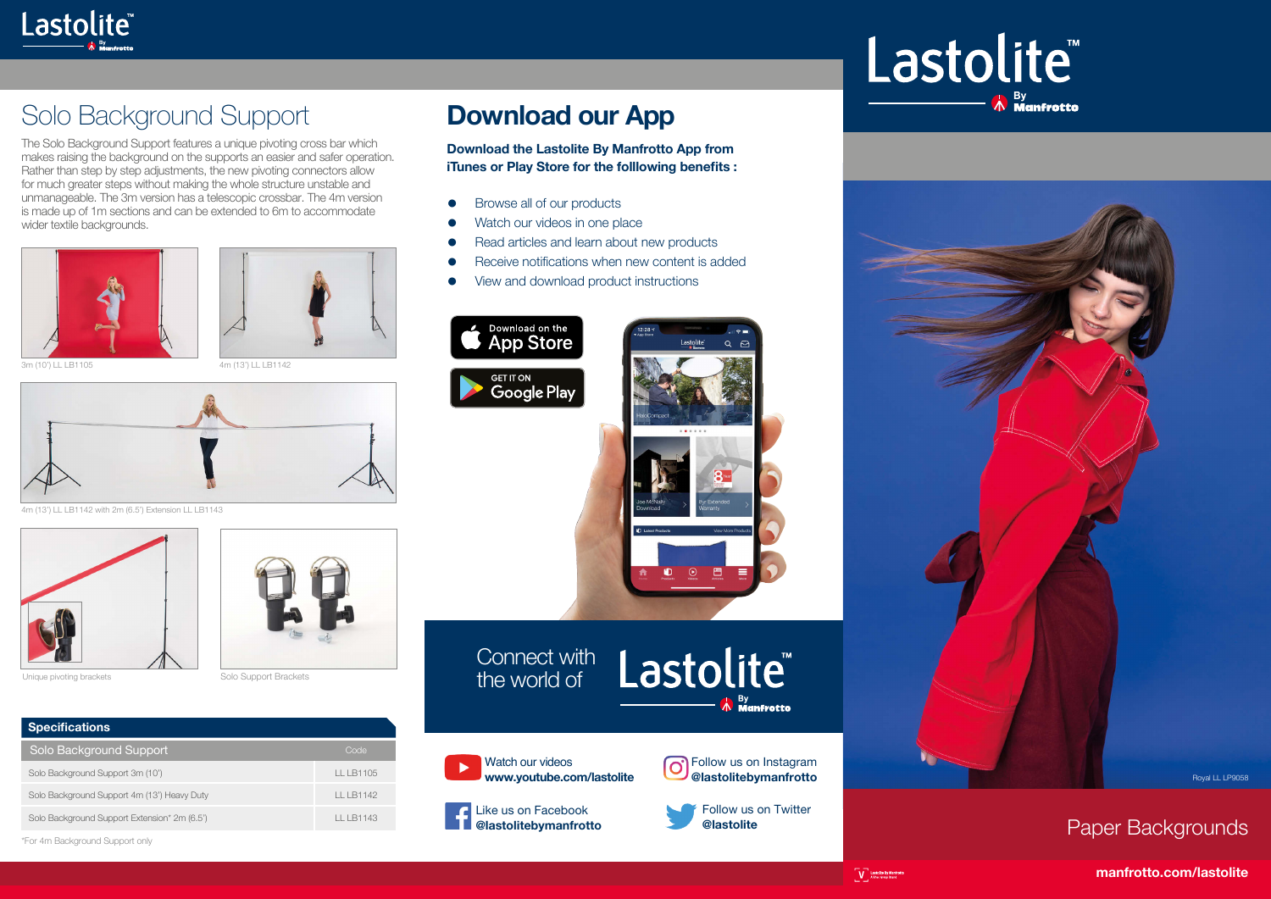

## Solo Background Support

The Solo Background Support features a unique pivoting cross bar which makes raising the background on the supports an easier and safer operation. Rather than step by step adjustments, the new pivoting connectors allow for much greater steps without making the whole structure unstable and unmanageable. The 3m version has a telescopic crossbar. The 4m version is made up of 1m sections and can be extended to 6m to accommodate wider textile backgrounds.







3m (10') LL LB1105 4m (13') LL LB1142



4m (13') LL LB1142 with 2m (6.5') Extension LL LB1143





| <b>Specifications</b>                        |            |
|----------------------------------------------|------------|
| Solo Background Support                      | Code       |
| Solo Background Support 3m (10')             | LL LB1105  |
| Solo Background Support 4m (13') Heavy Duty  | II I B1142 |
| Solo Background Support Extension* 2m (6.5') | II I B1143 |
|                                              |            |

\*For 4m Background Support only

## **Download our App**

**Download the Lastolite By Manfrotto App from iTunes or Play Store for the folllowing benefits :**

- Browse all of our products
- Watch our videos in one place
- Read articles and learn about new products
- Receive notifications when new content is added
- View and download product instructions







Connect with the world of





 $\boldsymbol{\Lambda}$  By **Membratta** 

Like us on Facebook **@lastolitebymanfrotto**



Follow us on Twitter **@lastolite**

## Lastolite® <sup>By</sup> Manfrotto





 $\begin{array}{ll} \hline \rule[1mm]{1mm}{7mm} & \rule[1mm]{2mm}{4mm}\\ \hline \rule[1mm]{2mm}{7mm} & \rule[1mm]{2mm}{8mm}\\ \rule[1mm]{2mm}{8mm} & \rule[1mm]{2mm}{8mm}\\ \rule[1mm]{2mm}{8mm} & \rule[1mm]{2mm}{8mm}\\ \rule[1mm]{2mm}{8mm} & \rule[1mm]{2mm}{8mm}\\ \rule[1mm]{2mm}{8mm} & \rule[1mm]{2mm}{8mm}\\ \rule[1mm]{2mm}{8mm} & \rule[1mm]{2mm}{8mm}\\ \rule[1mm]{2mm}{8mm} & \rule[1mm]{2mm}{8mm}\\ \rule[1mm]{2$